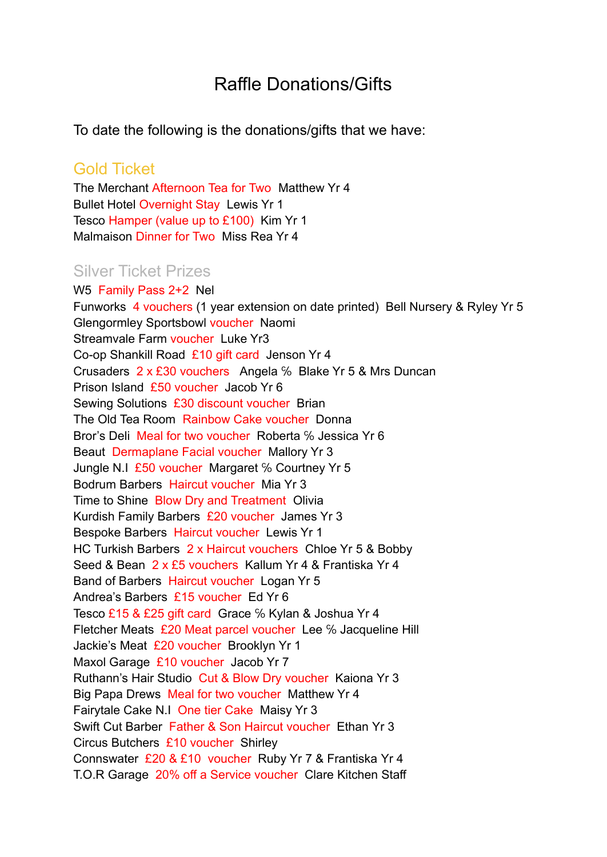## Raffle Donations/Gifts

To date the following is the donations/gifts that we have:

## Gold Ticket

The Merchant Afternoon Tea for Two Matthew Yr 4 Bullet Hotel Overnight Stay Lewis Yr 1 Tesco Hamper (value up to £100) Kim Yr 1 Malmaison Dinner for Two Miss Rea Yr 4

## Silver Ticket Prizes

W5 Family Pass 2+2 Nel Funworks 4 vouchers (1 year extension on date printed) Bell Nursery & Ryley Yr 5 Glengormley Sportsbowl voucher Naomi Streamvale Farm voucher Luke Yr3 Co-op Shankill Road £10 gift card Jenson Yr 4 Crusaders 2 x £30 vouchers Angela ℅ Blake Yr 5 & Mrs Duncan Prison Island £50 voucher Jacob Yr 6 Sewing Solutions £30 discount voucher Brian The Old Tea Room Rainbow Cake voucher Donna Bror's Deli Meal for two voucher Roberta ℅ Jessica Yr 6 Beaut Dermaplane Facial voucher Mallory Yr 3 Jungle N.I £50 voucher Margaret % Courtney Yr 5 Bodrum Barbers Haircut voucher Mia Yr 3 Time to Shine Blow Dry and Treatment Olivia Kurdish Family Barbers £20 voucher James Yr 3 Bespoke Barbers Haircut voucher Lewis Yr 1 HC Turkish Barbers 2 x Haircut vouchers Chloe Yr 5 & Bobby Seed & Bean 2 x £5 vouchers Kallum Yr 4 & Frantiska Yr 4 Band of Barbers Haircut voucher Logan Yr 5 Andrea's Barbers £15 voucher Ed Yr 6 Tesco £15 & £25 gift card Grace ℅ Kylan & Joshua Yr 4 Fletcher Meats £20 Meat parcel voucher Lee ℅ Jacqueline Hill Jackie's Meat £20 voucher Brooklyn Yr 1 Maxol Garage £10 voucher Jacob Yr 7 Ruthann's Hair Studio Cut & Blow Dry voucher Kaiona Yr 3 Big Papa Drews Meal for two voucher Matthew Yr 4 Fairytale Cake N.I One tier Cake Maisy Yr 3 Swift Cut Barber Father & Son Haircut voucher Ethan Yr 3 Circus Butchers £10 voucher Shirley Connswater £20 & £10 voucher Ruby Yr 7 & Frantiska Yr 4 T.O.R Garage 20% off a Service voucher Clare Kitchen Staff